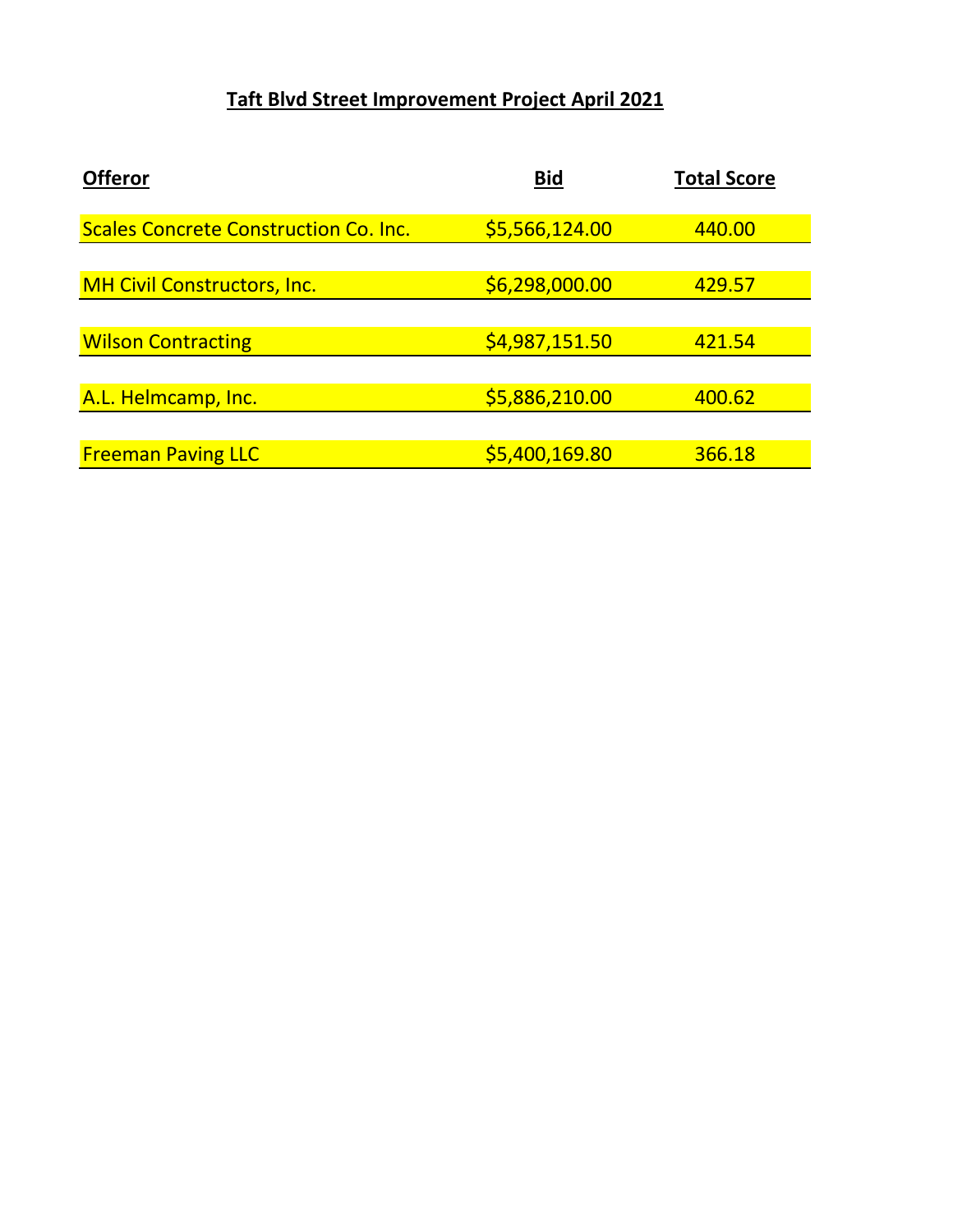## **Taft Blvd Street Improvement Project April 2021**

| <b>Offeror</b>                               | <b>Bid</b>     | <b>Total Score</b> |
|----------------------------------------------|----------------|--------------------|
|                                              |                |                    |
| <b>Scales Concrete Construction Co. Inc.</b> | \$5,566,124.00 | 440.00             |
|                                              |                |                    |
| <b>MH Civil Constructors, Inc.</b>           | \$6,298,000.00 | 429.57             |
|                                              |                |                    |
| <b>Wilson Contracting</b>                    | \$4,987,151.50 | 421.54             |
|                                              |                |                    |
| A.L. Helmcamp, Inc.                          | \$5,886,210.00 | 400.62             |
|                                              |                |                    |
| <b>Freeman Paving LLC</b>                    | \$5,400,169.80 | 366.18             |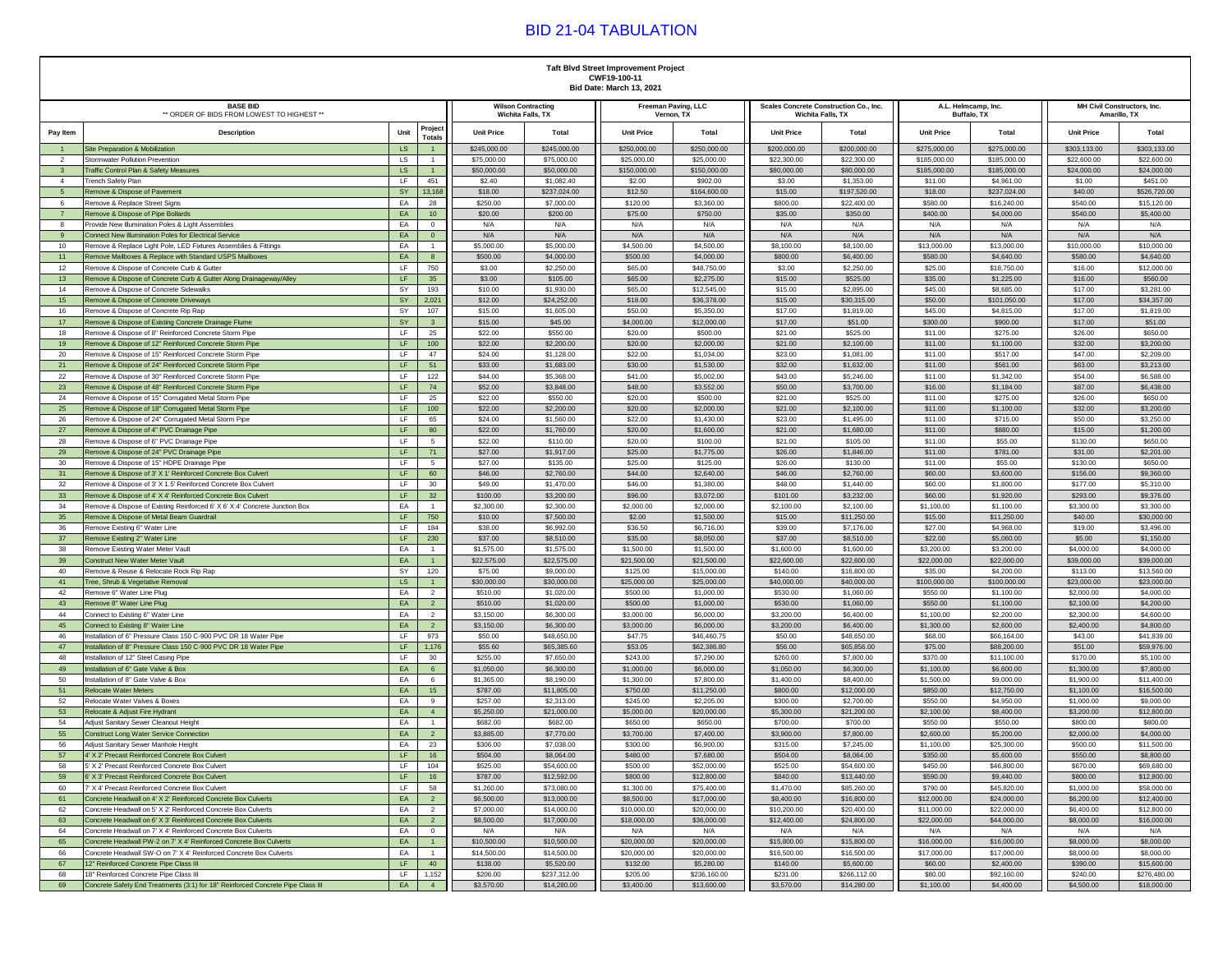## BID 21-04 TABULATION

|                                                               | <b>Taft Blvd Street Improvement Project</b><br>CWF19-100-11<br>Bid Date: March 13, 2021                                        |                                                                                                             |                            |                            |                             |                                   |                            |                                                             |                                    |                              |                                             |                            |
|---------------------------------------------------------------|--------------------------------------------------------------------------------------------------------------------------------|-------------------------------------------------------------------------------------------------------------|----------------------------|----------------------------|-----------------------------|-----------------------------------|----------------------------|-------------------------------------------------------------|------------------------------------|------------------------------|---------------------------------------------|----------------------------|
| <b>BASE BID</b><br>** ORDER OF BIDS FROM LOWEST TO HIGHEST ** |                                                                                                                                |                                                                                                             | <b>Wilson Contracting</b>  | Wichita Falls, TX          |                             | Freeman Paving, LLC<br>Vernon, TX |                            | Scales Concrete Construction Co., Inc.<br>Wichita Falls, TX | A.L. Helmcamp, Inc.<br>Buffalo, TX |                              | MH Civil Constructors, Inc.<br>Amarillo, TX |                            |
| Pay Item                                                      | <b>Description</b>                                                                                                             | Project<br>Unit<br><b>Totals</b>                                                                            | <b>Unit Price</b>          | Total                      | <b>Unit Price</b>           | Total                             | <b>Unit Price</b>          | Total                                                       | <b>Unit Price</b>                  | Total                        | <b>Unit Price</b>                           | Total                      |
|                                                               | Site Preparation & Mobilization                                                                                                | LS                                                                                                          | \$245,000.00               | \$245,000.00               | \$250,000.00                | \$250,000.00                      | \$200,000.00               | \$200,000.00                                                | \$275,000.00                       | \$275,000.00                 | \$303,133.00                                | \$303,133.00               |
| 2<br>$\overline{\mathbf{3}}$                                  | Stormwater Pollution Prevention<br><b>Traffic Control Plan &amp; Safety Measures</b>                                           | LS<br>$\mathbf{1}$<br>LS<br>1                                                                               | \$75,000.00<br>\$50,000.00 | \$75,000.00<br>\$50,000.00 | \$25,000.00<br>\$150,000.00 | \$25,000.00<br>\$150,000.00       | \$22,300.00<br>\$80,000.00 | \$22,300.00<br>\$80,000.00                                  | \$185,000.00<br>\$185,000.00       | \$185,000.00<br>\$185,000.00 | \$22,600.00<br>\$24,000.00                  | \$22,600.00<br>\$24,000.00 |
| $\overline{4}$                                                | Trench Safety Plan                                                                                                             | LF<br>451                                                                                                   | \$2.40                     | \$1,082.40                 | \$2.00                      | \$902.00                          | \$3.00                     | \$1,353.00                                                  | \$11.00                            | \$4,961.00                   | \$1.00                                      | \$451.00                   |
| 5                                                             | Remove & Dispose of Pavement                                                                                                   | SY<br>13,168                                                                                                | \$18.00                    | \$237,024.00               | \$12.50                     | \$164,600.00                      | \$15.00                    | \$197,520.00                                                | \$18.00                            | \$237,024.00                 | \$40.00                                     | \$526,720.00               |
| 6                                                             | Remove & Replace Street Signs                                                                                                  | EA<br>28                                                                                                    | \$250.00                   | \$7,000.00                 | \$120.00                    | \$3,360.00                        | \$800.00                   | \$22,400.00                                                 | \$580.00                           | \$16,240.00                  | \$540.00                                    | \$15,120.00                |
| $\overline{7}$                                                | Remove & Dispose of Pipe Bollards                                                                                              | EA<br>10                                                                                                    | \$20.00                    | \$200.00                   | \$75.00                     | \$750.00                          | \$35.00                    | \$350.00                                                    | \$400.00                           | \$4,000.00                   | \$540.00                                    | \$5,400.00                 |
| 8                                                             | Provide New Illumination Poles & Light Assemblies                                                                              | EA<br>$\mathbf{0}$                                                                                          | N/A<br>N/A                 | N/A                        | N/A                         | N/A<br>N/A                        | N/A<br>N/A                 | N/A<br>N/A                                                  | N/A<br>N/A                         | N/A<br>N/A                   | N/A<br>N/A                                  | N/A<br>N/A                 |
| 9<br>10                                                       | Connect New Illumination Poles for Electrical Service<br>Remove & Replace Light Pole, LED Fixtures Assemblies & Fittings       | EA<br>$\overline{0}$<br>EA<br>$\overline{1}$                                                                | \$5,000.00                 | N/A<br>\$5,000.00          | N/A<br>\$4,500.00           | \$4,500.00                        | \$8,100.00                 | \$8,100.00                                                  | \$13,000.00                        | \$13,000.00                  | \$10,000.00                                 | \$10,000.00                |
| 11                                                            | Remove Mailboxes & Replace with Standard USPS Mailboxes                                                                        | EA<br>8                                                                                                     | \$500.00                   | \$4,000.00                 | \$500.00                    | \$4,000.00                        | \$800.00                   | \$6,400.00                                                  | \$580.00                           | \$4,640.00                   | \$580.00                                    | \$4,640.00                 |
| 12                                                            | Remove & Dispose of Concrete Curb & Gutter                                                                                     | LF.<br>750                                                                                                  | \$3.00                     | \$2,250.00                 | \$65.00                     | \$48,750.00                       | \$3.00                     | \$2,250.00                                                  | \$25.00                            | \$18,750.00                  | \$16.00                                     | \$12,000.00                |
| 13                                                            | Remove & Dispose of Concrete Curb & Gutter Along Drainageway/Alley                                                             | LF<br>$35\,$                                                                                                | \$3.00                     | \$105.00                   | \$65.00                     | \$2,275.00                        | \$15.00                    | \$525.00                                                    | \$35.00                            | \$1,225.00                   | \$16.00                                     | \$560.00                   |
| 14                                                            | Remove & Dispose of Concrete Sidewalks                                                                                         | SY<br>193                                                                                                   | \$10.00                    | \$1,930.00                 | \$65.00                     | \$12,545.00                       | \$15.00                    | \$2,895.00                                                  | \$45.00                            | \$8,685.00                   | \$17.00                                     | \$3,281.00                 |
| 15                                                            | Remove & Dispose of Concrete Driveways                                                                                         | SY<br>2,021                                                                                                 | \$12.00                    | \$24,252.00                | \$18.00                     | \$36,378.00                       | \$15.00                    | \$30,315.00                                                 | \$50.00                            | \$101,050.00                 | \$17.00                                     | \$34,357.00                |
| 16<br>$17$                                                    | Remove & Dispose of Concrete Rip Rap<br>Remove & Dispose of Existing Concrete Drainage Flume                                   | SY<br>107<br>SY<br>$\mathbf{3}$                                                                             | \$15.00<br>\$15.00         | \$1,605.00<br>\$45.00      | \$50.00<br>\$4,000.00       | \$5,350.00<br>\$12,000.00         | \$17.00<br>\$17.00         | \$1,819.00<br>\$51.00                                       | \$45.00<br>\$300.00                | \$4,815.00<br>\$900.00       | \$17.00<br>\$17.00                          | \$1,819.00<br>\$51.00      |
| 18                                                            | Remove & Dispose of 8" Reinforced Concrete Storm Pipe                                                                          | LF<br>25                                                                                                    | \$22.00                    | \$550.00                   | \$20.00                     | \$500.00                          | \$21.00                    | \$525.00                                                    | \$11.00                            | \$275.00                     | \$26.00                                     | \$650.00                   |
| 19                                                            | Remove & Dispose of 12" Reinforced Concrete Storm Pipe                                                                         | LF.<br>100                                                                                                  | \$22.00                    | \$2,200.00                 | \$20.00                     | \$2,000.00                        | \$21.00                    | \$2,100.00                                                  | \$11.00                            | \$1,100.00                   | \$32.00                                     | \$3,200.00                 |
| 20                                                            | Remove & Dispose of 15" Reinforced Concrete Storm Pipe                                                                         | LF<br>47                                                                                                    | \$24.00                    | \$1,128.00                 | \$22.00                     | \$1,034.00                        | \$23.00                    | \$1,081.00                                                  | \$11.00                            | \$517.00                     | \$47.00                                     | \$2,209.00                 |
| 21                                                            | Remove & Dispose of 24" Reinforced Concrete Storm Pipe                                                                         | LF<br>51                                                                                                    | \$33.00                    | \$1,683.00                 | \$30.00                     | \$1,530.00                        | \$32.00                    | \$1,632.00                                                  | \$11.00                            | \$561.00                     | \$63.00                                     | \$3,213.00                 |
| 22                                                            | Remove & Dispose of 30" Reinforced Concrete Storm Pipe                                                                         | LF.<br>122                                                                                                  | \$44.00                    | \$5,368.00                 | \$41.00<br>\$48.00          | \$5,002.00                        | \$43.00                    | \$5,246.00                                                  | \$11.00                            | \$1,342.00                   | \$54.00                                     | \$6,588.00                 |
| 23<br>24                                                      | Remove & Dispose of 48" Reinforced Concrete Storm Pipe<br>Remove & Dispose of 15" Corrugated Metal Storm Pipe                  | $\mathsf{LF}% _{0}\left( t\right) \rightarrow\mathsf{LF}_{0}\left( t\right)$<br>74<br>LF.<br>25             | \$52.00<br>\$22.00         | \$3,848.00<br>\$550.00     | \$20.00                     | \$3,552.00<br>\$500.00            | \$50.00<br>\$21.00         | \$3,700.00<br>\$525.00                                      | \$16.00<br>\$11.00                 | \$1,184.00<br>\$275.00       | \$87.00<br>\$26.00                          | \$6,438.00<br>\$650.00     |
| 25                                                            | Remove & Dispose of 18" Corrugated Metal Storm Pipe                                                                            | LF<br>100                                                                                                   | \$22.00                    | \$2,200.00                 | \$20.00                     | \$2,000.00                        | \$21.00                    | \$2,100.00                                                  | \$11.00                            | \$1,100.00                   | \$32.00                                     | \$3,200.00                 |
| 26                                                            | Remove & Dispose of 24" Corrugated Metal Storm Pipe                                                                            | LF<br>65                                                                                                    | \$24.00                    | \$1,560.00                 | \$22.00                     | \$1,430.00                        | \$23.00                    | \$1,495.00                                                  | \$11.00                            | \$715.00                     | \$50.00                                     | \$3,250.00                 |
| $27\,$                                                        | Remove & Dispose of 4" PVC Drainage Pipe                                                                                       | LF<br>80                                                                                                    | \$22.00                    | \$1,760.00                 | \$20.00                     | \$1,600.00                        | \$21.00                    | \$1,680.00                                                  | \$11.00                            | \$880.00                     | \$15.00                                     | \$1,200.00                 |
| 28                                                            | Remove & Dispose of 6" PVC Drainage Pipe                                                                                       | LF.<br>5                                                                                                    | \$22.00                    | \$110.00                   | \$20.00                     | \$100.00                          | \$21.00                    | \$105.00                                                    | \$11.00                            | \$55.00                      | \$130.00                                    | \$650.00                   |
| 29                                                            | Remove & Dispose of 24" PVC Drainage Pipe                                                                                      | $\mathsf{LF}% _{0}\left( t\right) \rightarrow\mathsf{LF}_{0}\left( t\right)$<br>71<br>LF.<br>5 <sup>5</sup> | \$27.00                    | \$1,917.00                 | \$25.00<br>\$25.00          | \$1,775.00                        | \$26.00                    | \$1,846.00                                                  | \$11.00                            | \$781.00                     | \$31.00                                     | \$2,201.00                 |
| 30<br>31                                                      | Remove & Dispose of 15" HDPE Drainage Pipe<br>Remove & Dispose of 3' X 1' Reinforced Concrete Box Culvert                      | LF<br>60                                                                                                    | \$27.00<br>\$46.00         | \$135.00<br>\$2,760.00     | \$44.00                     | \$125.00<br>\$2,640.00            | \$26.00<br>\$46.00         | \$130.00<br>\$2,760.00                                      | \$11.00<br>\$60.00                 | \$55.00<br>\$3,600.00        | \$130.00<br>\$156.00                        | \$650.00<br>\$9,360.00     |
| 32                                                            | Remove & Dispose of 3' X 1.5' Reinforced Concrete Box Culvert                                                                  | LF<br>30                                                                                                    | \$49.00                    | \$1,470.00                 | \$46.00                     | \$1,380.00                        | \$48.00                    | \$1,440.00                                                  | \$60.00                            | \$1,800.00                   | \$177.00                                    | \$5,310.00                 |
| 33                                                            | Remove & Dispose of 4' X 4' Reinforced Concrete Box Culvert                                                                    | LF<br>32                                                                                                    | \$100.00                   | \$3,200.00                 | \$96.00                     | \$3,072.00                        | \$101.00                   | \$3,232.00                                                  | \$60.00                            | \$1,920.00                   | \$293.00                                    | \$9,376.00                 |
| 34                                                            | Remove & Dispose of Existing Reinforced 6' X 6' X 4' Concrete Junction Box                                                     | EA<br>$\overline{1}$                                                                                        | \$2,300.00                 | \$2,300.00                 | \$2,000.00                  | \$2,000.00                        | \$2,100.00                 | \$2,100.00                                                  | \$1,100.00                         | \$1,100.00                   | \$3,300.00                                  | \$3,300.00                 |
| 35                                                            | Remove & Dispose of Metal Beam Guardrail                                                                                       | 750<br>LF                                                                                                   | \$10.00                    | \$7,500.00                 | \$2.00                      | \$1,500.00                        | \$15.00                    | \$11,250.00                                                 | \$15.00                            | \$11,250.00                  | \$40.00                                     | \$30,000.00                |
| 36                                                            | Remove Existing 6" Water Line                                                                                                  | LF.<br>184<br>LF                                                                                            | \$38.00                    | \$6,992.00                 | \$36.50<br>\$35.00          | \$6,716.00<br>\$8,050.00          | \$39.00                    | \$7,176.00<br>\$8,510.00                                    | \$27.00                            | \$4,968.00                   | \$19.00                                     | \$3,496.00<br>\$1,150.00   |
| 37<br>38                                                      | Remove Existing 2" Water Line<br>Remove Existing Water Meter Vault                                                             | 230<br>EA<br>$\overline{1}$                                                                                 | \$37.00<br>\$1,575.00      | \$8,510.00<br>\$1,575.00   | \$1,500.00                  | \$1,500.00                        | \$37.00<br>\$1,600.00      | \$1,600.00                                                  | \$22.00<br>\$3,200.00              | \$5,060.00<br>\$3,200.00     | \$5.00<br>\$4,000.00                        | \$4,000.00                 |
| 39                                                            | <b>Construct New Water Meter Vault</b>                                                                                         | EA<br>1                                                                                                     | \$22,575.00                | \$22,575.00                | \$21,500.00                 | \$21,500.00                       | \$22,600.00                | \$22,600.00                                                 | \$22,000.00                        | \$22,000.00                  | \$39,000.00                                 | \$39,000.00                |
| 40                                                            | Remove & Reuse & Relocate Rock Rip Rap                                                                                         | SY<br>120                                                                                                   | \$75.00                    | \$9,000.00                 | \$125.00                    | \$15,000.00                       | \$140.00                   | \$16,800.00                                                 | \$35.00                            | \$4,200.00                   | \$113.00                                    | \$13,560.00                |
| 41                                                            | Tree, Shrub & Vegetative Removal                                                                                               | <b>LS</b><br>1                                                                                              | \$30,000.00                | \$30,000.00                | \$25,000.00                 | \$25,000.00                       | \$40,000.00                | \$40,000.00                                                 | \$100,000.00                       | \$100,000.00                 | \$23,000.00                                 | \$23,000.00                |
| 42                                                            | Remove 6" Water Line Plug                                                                                                      | EA<br>$\overline{2}$                                                                                        | \$510.00                   | \$1,020.00                 | \$500.00                    | \$1,000.00                        | \$530.00                   | \$1,060.00                                                  | \$550.00                           | \$1,100.00                   | \$2,000.00                                  | \$4,000.00                 |
| 43<br>44                                                      | Remove 8" Water Line Plug<br>Connect to Existing 6" Water Line                                                                 | EA<br>$\overline{2}$<br>EA<br>$\overline{2}$                                                                | \$510.00<br>\$3,150.00     | \$1,020.00<br>\$6,300.00   | \$500.00<br>\$3,000.00      | \$1,000.00<br>\$6,000.00          | \$530.00<br>\$3,200.00     | \$1,060.00<br>\$6,400.00                                    | \$550.00<br>\$1,100.00             | \$1,100.00<br>\$2,200.00     | \$2,100.00<br>\$2,300.00                    | \$4,200.00<br>\$4,600.00   |
| 45                                                            | Connect to Existing 8" Water Line                                                                                              | EA<br>$\overline{2}$                                                                                        | \$3,150.00                 | \$6,300.00                 | \$3,000.00                  | \$6,000.00                        | \$3,200.00                 | \$6,400.00                                                  | \$1,300.00                         | \$2,600.00                   | \$2,400.00                                  | \$4,800.00                 |
| 46                                                            | Installation of 6" Pressure Class 150 C-900 PVC DR 18 Water Pipe                                                               | LF<br>973                                                                                                   | \$50.00                    | \$48,650.00                | \$47.75                     | \$46,460.75                       | \$50.00                    | \$48,650.00                                                 | \$68.00                            | \$66,164.00                  | \$43.00                                     | \$41,839.00                |
| 47                                                            | Installation of 8" Pressure Class 150 C-900 PVC DR 18 Water Pipe                                                               | 1,176<br>LF                                                                                                 | \$55.60                    | \$65,385.60                | \$53.05                     | \$62,386.80                       | \$56.00                    | \$65,856.00                                                 | \$75.00                            | \$88,200.00                  | \$51.00                                     | \$59,976.00                |
| 48                                                            | Installation of 12" Steel Casing Pipe                                                                                          | LF<br>30                                                                                                    | \$255.00                   | \$7,650.00                 | \$243.00                    | \$7,290.00                        | \$260.00                   | \$7,800.00                                                  | \$370.00                           | \$11,100.00                  | \$170.00                                    | \$5,100.00                 |
| 49<br>50                                                      | Installation of 6" Gate Valve & Box<br>Installation of 8" Gate Valve & Box                                                     | EA<br>$6\overline{6}$<br>EA<br>6                                                                            | \$1,050.00<br>\$1,365.00   | \$6,300.00<br>\$8,190.00   | \$1,000.00<br>\$1,300.00    | \$6,000.00<br>\$7,800.00          | \$1,050.00<br>\$1,400.00   | \$6,300.00<br>\$8,400.00                                    | \$1,100.00<br>\$1,500.00           | \$6,600.00<br>\$9,000.00     | \$1,300.00<br>\$1,900.00                    | \$7,800.00<br>\$11,400.00  |
| 51                                                            | <b>Relocate Water Meters</b>                                                                                                   | EA<br>$15\,$                                                                                                | \$787.00                   | \$11,805.00                | \$750.00                    | \$11,250.00                       | \$800.00                   | \$12,000.00                                                 | \$850.00                           | \$12,750.00                  | \$1,100.00                                  | \$16,500.00                |
| 52                                                            | Relocate Water Valves & Boxes                                                                                                  | EA<br>9                                                                                                     | \$257.00                   | \$2,313.00                 | \$245.00                    | \$2,205.00                        | \$300.00                   | \$2,700.00                                                  | \$550.00                           | \$4,950.00                   | \$1,000.00                                  | \$9,000.00                 |
| 53                                                            | Relocate & Adjust Fire Hydrant                                                                                                 | EA<br>4                                                                                                     | \$5,250.00                 | \$21,000.00                | \$5,000.00                  | \$20,000.00                       | \$5,300.00                 | \$21,200.00                                                 | \$2,100.00                         | \$8,400.00                   | \$3,200.00                                  | \$12,800.00                |
| 54                                                            | Adiust Sanitary Sewer Cleanout Height                                                                                          | EA<br>$\overline{1}$                                                                                        | \$682.00                   | \$682.00                   | \$650.00                    | \$650.00                          | \$700.00                   | \$700.00                                                    | \$550.00                           | \$550.00                     | \$800.00                                    | \$800.00                   |
| 55                                                            | <b>Construct Long Water Service Connection</b>                                                                                 | EA<br>$\overline{2}$                                                                                        | \$3,885.00                 | \$7,770.00                 | \$3,700.00                  | \$7,400.00                        | \$3,900.00                 | \$7,800.00                                                  | \$2,600.00                         | \$5,200.00                   | \$2,000.00                                  | \$4,000.00                 |
| 56<br>$57\,$                                                  | Adjust Sanitary Sewer Manhole Height<br>4' X 2' Precast Reinforced Concrete Box (                                              | EA<br>23<br>LF<br>16                                                                                        | \$306.00<br>\$504.00       | \$7,038.00<br>\$8,064.00   | \$300.00<br>\$480.00        | \$6,900.00<br>\$7,680.00          | \$315.00<br>\$504.00       | \$7,245.00<br>\$8,064.00                                    | \$1,100.00<br>\$350.00             | \$25,300.00<br>\$5,600.00    | \$500.00<br>\$550.00                        | \$11,500.00<br>\$8,800.00  |
| 58                                                            | 5' X 2' Precast Reinforced Concrete Box Culvert                                                                                | LF.<br>104                                                                                                  | \$525.00                   | \$54,600.00                | \$500.00                    | \$52,000.00                       | \$525.00                   | \$54,600.00                                                 | \$450.00                           | \$46,800.00                  | \$670.00                                    | \$69,680.00                |
| 59                                                            | 6' X 3' Precast Reinforced Concrete Box Culvert                                                                                | LF<br>16                                                                                                    | \$787.00                   | \$12,592.00                | \$800.00                    | \$12,800.00                       | \$840.00                   | \$13,440.00                                                 | \$590.00                           | \$9,440.00                   | \$800.00                                    | \$12,800.00                |
| 60                                                            | 7' X 4' Precast Reinforced Concrete Box Culvert                                                                                | LF.<br>58                                                                                                   | \$1,260.00                 | \$73,080.00                | \$1,300.00                  | \$75,400.00                       | \$1,470.00                 | \$85,260.00                                                 | \$790.00                           | \$45,820.00                  | \$1,000.00                                  | \$58,000.00                |
| 61                                                            | Concrete Headwall on 4' X 2' Reinforced Concrete Box Culverts                                                                  | EA<br>$\overline{2}$                                                                                        | \$6,500.00                 | \$13,000.00                | \$8,500.00                  | \$17,000.00                       | \$8,400.00                 | \$16,800.00                                                 | \$12,000.00                        | \$24,000.00                  | \$6,200.00                                  | \$12,400.00                |
| 62                                                            | Concrete Headwall on 5' X 2' Reinforced Concrete Box Culverts                                                                  | EA<br>$\overline{2}$                                                                                        | \$7,000.00                 | \$14,000.00                | \$10,000.00                 | \$20,000.00                       | \$10,200.00                | \$20,400.00                                                 | \$11,000.00                        | \$22,000.00                  | \$6,400.00                                  | \$12,800.00                |
| 63<br>64                                                      | Concrete Headwall on 6' X 3' Reinforced Concrete Box Culverts<br>Concrete Headwall on 7' X 4' Reinforced Concrete Box Culverts | EA<br>$\overline{2}$                                                                                        | \$8,500.00<br>N/A          | \$17,000.00<br>N/A         | \$18,000.00<br>N/A          | \$36,000.00<br>N/A                | \$12,400.00<br>N/A         | \$24,800.00<br>N/A                                          | \$22,000.00<br>N/A                 | \$44,000.00<br>N/A           | \$8,000.00<br>N/A                           | \$16,000.00<br>N/A         |
| 65                                                            | Concrete Headwall PW-2 on 7' X 4' Reinforced Concrete Box Culverts                                                             | EA<br>$\overline{0}$<br>EA<br>1                                                                             | \$10,500.00                | \$10,500.00                | \$20,000.00                 | \$20,000.00                       | \$15,800.00                | \$15,800.00                                                 | \$16,000.00                        | \$16,000.00                  | \$8,000.00                                  | \$8,000.00                 |
| 66                                                            | Concrete Headwall SW-O on 7' X 4' Reinforced Concrete Box Culverts                                                             | EA<br>$\overline{1}$                                                                                        | \$14,500.00                | \$14,500.00                | \$20,000.00                 | \$20,000.00                       | \$16,500.00                | \$16,500.00                                                 | \$17,000.00                        | \$17,000.00                  | \$8,000.00                                  | \$8,000.00                 |
| 67                                                            | 12" Reinforced Concrete Pipe Class III                                                                                         | LF.<br>40                                                                                                   | \$138.00                   | \$5,520.00                 | \$132.00                    | \$5,280.00                        | \$140.00                   | \$5,600.00                                                  | \$60.00                            | \$2,400.00                   | \$390.00                                    | \$15,600.00                |
| 68                                                            | 18" Reinforced Concrete Pipe Class III                                                                                         | LF.<br>1,152                                                                                                | \$206.00                   | \$237,312.00               | \$205.00                    | \$236,160.00                      | \$231.00                   | \$266,112.00                                                | \$80.00                            | \$92,160.00                  | \$240.00                                    | \$276,480.00               |
| 69                                                            | Concrete Safety End Treatments (3:1) for 18" Reinforced Concrete Pipe Class III                                                | EA<br>4                                                                                                     | \$3,570.00                 | \$14,280.00                | \$3,400.00                  | \$13,600.00                       | \$3,570.00                 | \$14,280.00                                                 | \$1,100.00                         | \$4,400.00                   | \$4,500.00                                  | \$18,000.00                |